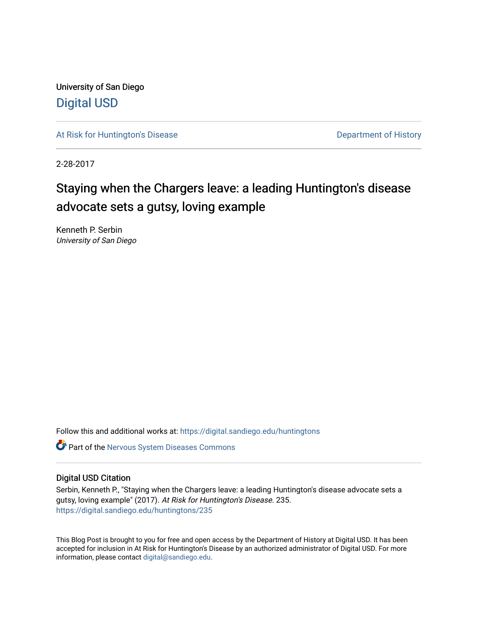University of San Diego [Digital USD](https://digital.sandiego.edu/)

[At Risk for Huntington's Disease](https://digital.sandiego.edu/huntingtons) **Department of History** Department of History

2-28-2017

## Staying when the Chargers leave: a leading Huntington's disease advocate sets a gutsy, loving example

Kenneth P. Serbin University of San Diego

Follow this and additional works at: [https://digital.sandiego.edu/huntingtons](https://digital.sandiego.edu/huntingtons?utm_source=digital.sandiego.edu%2Fhuntingtons%2F235&utm_medium=PDF&utm_campaign=PDFCoverPages)

**C** Part of the [Nervous System Diseases Commons](http://network.bepress.com/hgg/discipline/928?utm_source=digital.sandiego.edu%2Fhuntingtons%2F235&utm_medium=PDF&utm_campaign=PDFCoverPages)

### Digital USD Citation

Serbin, Kenneth P., "Staying when the Chargers leave: a leading Huntington's disease advocate sets a gutsy, loving example" (2017). At Risk for Huntington's Disease. 235. [https://digital.sandiego.edu/huntingtons/235](https://digital.sandiego.edu/huntingtons/235?utm_source=digital.sandiego.edu%2Fhuntingtons%2F235&utm_medium=PDF&utm_campaign=PDFCoverPages)

This Blog Post is brought to you for free and open access by the Department of History at Digital USD. It has been accepted for inclusion in At Risk for Huntington's Disease by an authorized administrator of Digital USD. For more information, please contact [digital@sandiego.edu.](mailto:digital@sandiego.edu)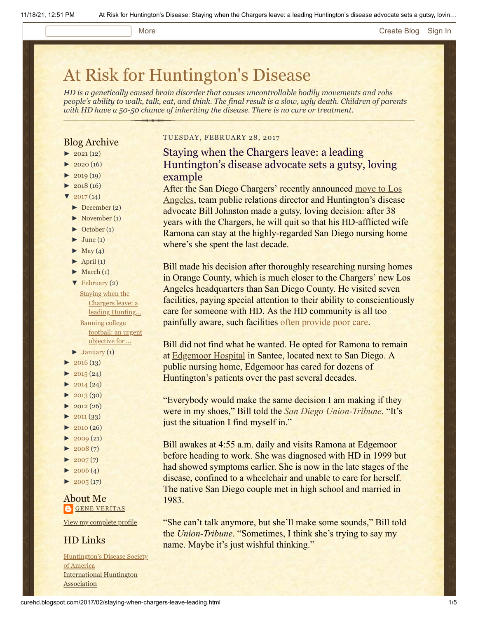#### More **[Create Blog](https://www.blogger.com/home#create) [Sign In](https://www.blogger.com/)**

# [At Risk for Huntington's Disease](http://curehd.blogspot.com/)

*HD is a genetically caused brain disorder that causes uncontrollable bodily movements and robs people's ability to walk, talk, eat, and think. The final result is a slow, ugly death. Children of parents with HD have a 50-50 chance of inheriting the disease. There is no cure or treatment.*

## Blog Archive

- $\blacktriangleright$  [2021](http://curehd.blogspot.com/2021/) (12)
- $\blacktriangleright$  [2020](http://curehd.blogspot.com/2020/) (16)
- $-2019(19)$  $-2019(19)$  $-2019(19)$
- $\blacktriangleright$  [2018](http://curehd.blogspot.com/2018/) (16)
- $'$  [2017](http://curehd.blogspot.com/2017/) (14)
- [►](javascript:void(0)) [December](http://curehd.blogspot.com/2017/12/) (2)
- [►](javascript:void(0)) [November](http://curehd.blogspot.com/2017/11/) (1)
- [►](javascript:void(0)) [October](http://curehd.blogspot.com/2017/10/) (1)
- $\blacktriangleright$  [June](http://curehd.blogspot.com/2017/06/) (1)
- $\blacktriangleright$  [May](http://curehd.blogspot.com/2017/05/) (4)
- $\blacktriangleright$  [April](http://curehd.blogspot.com/2017/04/) (1)
- $\blacktriangleright$  [March](http://curehd.blogspot.com/2017/03/) (1)
- [▼](javascript:void(0)) [February](http://curehd.blogspot.com/2017/02/) (2) Staying when the Chargers leave: a leading [Hunting...](http://curehd.blogspot.com/2017/02/staying-when-chargers-leave-leading.html) Banning college football: an urgent [objective](http://curehd.blogspot.com/2017/02/banning-college-football-urgent.html) for ...
- $\blacktriangleright$  [January](http://curehd.blogspot.com/2017/01/) (1)
- $\blacktriangleright$  [2016](http://curehd.blogspot.com/2016/) (13)
- $\blacktriangleright$  [2015](http://curehd.blogspot.com/2015/) (24)
- $\blacktriangleright$  [2014](http://curehd.blogspot.com/2014/) (24)
- $\blacktriangleright$  [2013](http://curehd.blogspot.com/2013/) (30)
- $\blacktriangleright$  [2012](http://curehd.blogspot.com/2012/) (26)
- $\blacktriangleright$  [2011](http://curehd.blogspot.com/2011/) (33)
- $\blacktriangleright$  [2010](http://curehd.blogspot.com/2010/) (26)
- $\blacktriangleright$  [2009](http://curehd.blogspot.com/2009/) (21)
- $\blacktriangleright$  [2008](http://curehd.blogspot.com/2008/) $(7)$
- $\blacktriangleright$  [2007](http://curehd.blogspot.com/2007/) $(7)$
- $\blacktriangleright$  [2006](http://curehd.blogspot.com/2006/) (4)
- $\blacktriangleright$  [2005](http://curehd.blogspot.com/2005/) (17)

#### About Me **GENE [VERITAS](https://www.blogger.com/profile/10911736205741688185)**

View my [complete](https://www.blogger.com/profile/10911736205741688185) profile

## HD Links

[Huntington's](http://www.hdsa.org/) Disease Society of America [International](http://www.huntington-assoc.com/) Huntington **Association** 

#### TUESDAY, FEBRUARY 28, 2017

## Staying when the Chargers leave: a leading Huntington's disease advocate sets a gutsy, loving example

After the San Diego Chargers' recently announced move to Los Angeles, [team public relations director and Huntington's disease](http://www.espn.com/nfl/story/_/id/18458293/chargers-announce-move-los-angeles-leaving-san-diego) advocate Bill Johnston made a gutsy, loving decision: after 38 years with the Chargers, he will quit so that his HD-afflicted wife Ramona can stay at the highly-regarded San Diego nursing home where's she spent the last decade.

Bill made his decision after thoroughly researching nursing homes in Orange County, which is much closer to the Chargers' new Los Angeles headquarters than San Diego County. He visited seven facilities, paying special attention to their ability to conscientiously care for someone with HD. As the HD community is all too painfully aware, such facilities [often provide poor care.](http://curehd.blogspot.com/2013/05/strangling-of-patient-in-nursing-home.html)

Bill did not find what he wanted. He opted for Ramona to remain at [Edgemoor Hospital](http://www.sandiegocounty.gov/hhsa/programs/bhs/inpatient_health_services_edgemoor/) in Santee, located next to San Diego. A public nursing home, Edgemoor has cared for dozens of Huntington's patients over the past several decades.

"Everybody would make the same decision I am making if they were in my shoes," Bill told the *[San Diego Union-Tribune](http://www.sandiegouniontribune.com/sports/chargers/sd-sp-chargers-johnston-20170217-story.html)*. "It's just the situation I find myself in."

Bill awakes at 4:55 a.m. daily and visits Ramona at Edgemoor before heading to work. She was diagnosed with HD in 1999 but had showed symptoms earlier. She is now in the late stages of the disease, confined to a wheelchair and unable to care for herself. The native San Diego couple met in high school and married in 1983.

"She can't talk anymore, but she'll make some sounds," Bill told the *Union-Tribune*. "Sometimes, I think she's trying to say my name. Maybe it's just wishful thinking."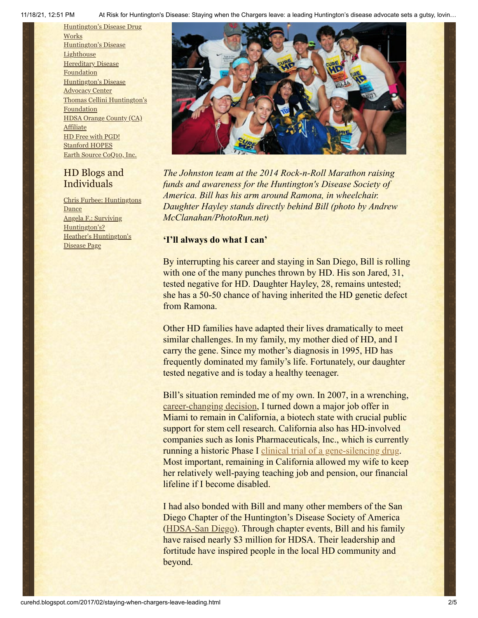11/18/21, 12:51 PM At Risk for Huntington's Disease: Staying when the Chargers leave: a leading Huntington's disease advocate sets a gutsy, lovin…

[Huntington's](http://hddrugworks.org/) Disease Drug **Works** [Huntington's](http://www.hdlighthouse.org/) Disease **Lighthouse Hereditary Disease [Foundation](http://www.hdfoundation.org/)** [Huntington's](http://www.hdac.org/) Disease **Advocacy Center** Thomas [Cellini Huntington's](http://www.ourtchfoundation.org/) Foundation HDSA Orange County (CA) **[Affiliate](http://www.hdsaoc.org/)** HD Free with [PGD!](http://www.hdfreewithpgd.com/) [Stanford](http://www.stanford.edu/group/hopes/) HOPES Earth Source [CoQ10,](http://www.escoq10.com/) Inc.

## HD Blogs and Individuals

Chris Furbee: [Huntingtons](http://www.huntingtonsdance.org/) **Dance** Angela F.: Surviving [Huntington's?](http://survivinghuntingtons.blogspot.com/) Heather's [Huntington's](http://heatherdugdale.angelfire.com/) Disease Page



*The Johnston team at the 2014 Rock-n-Roll Marathon raising funds and awareness for the Huntington's Disease Society of America. Bill has his arm around Ramona, in wheelchair. Daughter Hayley stands directly behind Bill (photo by Andrew McClanahan/PhotoRun.net)*

## **'I'll always do what I can'**

By interrupting his career and staying in San Diego, Bill is rolling with one of the many punches thrown by HD. His son Jared, 31, tested negative for HD. Daughter Hayley, 28, remains untested; she has a 50-50 chance of having inherited the HD genetic defect from Ramona.

Other HD families have adapted their lives dramatically to meet similar challenges. In my family, my mother died of HD, and I carry the gene. Since my mother's diagnosis in 1995, HD has frequently dominated my family's life. Fortunately, our daughter tested negative and is today a healthy teenager.

Bill's situation reminded me of my own. In 2007, in a wrenching, [career-changing decision](http://www.chronicle.com/article/Racing-Against-the-Genetic/135542), I turned down a major job offer in Miami to remain in California, a biotech state with crucial public support for stem cell research. California also has HD-involved companies such as Ionis Pharmaceuticals, Inc., which is currently running a historic Phase I [clinical trial of a gene-silencing drug](http://curehd.blogspot.com/2016/10/ionis-phase-i-huntingtons-disease-trial.html). Most important, remaining in California allowed my wife to keep her relatively well-paying teaching job and pension, our financial lifeline if I become disabled.

I had also bonded with Bill and many other members of the San Diego Chapter of the Huntington's Disease Society of America ([HDSA-San Diego\)](http://san-diego.hdsa.org/). Through chapter events, Bill and his family have raised nearly \$3 million for HDSA. Their leadership and fortitude have inspired people in the local HD community and beyond.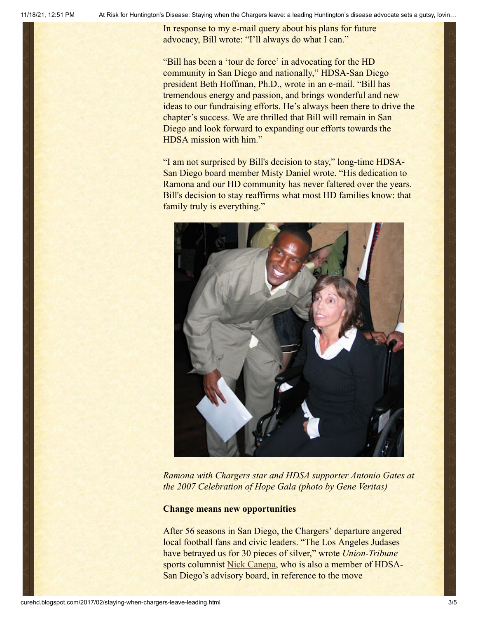In response to my e-mail query about his plans for future advocacy, Bill wrote: "I'll always do what I can."

"Bill has been a 'tour de force' in advocating for the HD community in San Diego and nationally," HDSA-San Diego president Beth Hoffman, Ph.D., wrote in an e-mail. "Bill has tremendous energy and passion, and brings wonderful and new ideas to our fundraising efforts. He's always been there to drive the chapter's success. We are thrilled that Bill will remain in San Diego and look forward to expanding our efforts towards the HDSA mission with him."

"I am not surprised by Bill's decision to stay," long-time HDSA-San Diego board member Misty Daniel wrote. "His dedication to Ramona and our HD community has never faltered over the years. Bill's decision to stay reaffirms what most HD families know: that family truly is everything."



*Ramona with Chargers star and HDSA supporter Antonio Gates at the 2007 Celebration of Hope Gala (photo by Gene Veritas)*

#### **Change means new opportunities**

After 56 seasons in San Diego, the Chargers' departure angered local football fans and civic leaders. "The Los Angeles Judases have betrayed us for 30 pieces of silver," wrote *Union-Tribune* sports columnist [Nick Canepa](http://www.sandiegouniontribune.com/sports/columnists/nick-canepa/sd-sp-nick-canepa-chargers-mls-20170115-story.html), who is also a member of HDSA-San Diego's advisory board, in reference to the move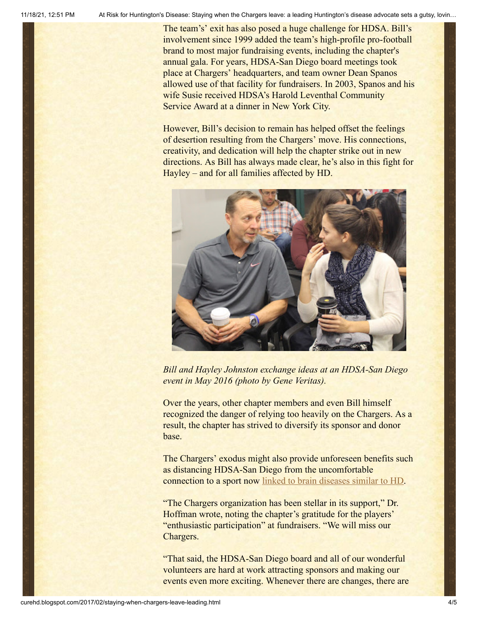The team's' exit has also posed a huge challenge for HDSA. Bill's involvement since 1999 added the team's high-profile pro-football brand to most major fundraising events, including the chapter's annual gala. For years, HDSA-San Diego board meetings took place at Chargers' headquarters, and team owner Dean Spanos allowed use of that facility for fundraisers. In 2003, Spanos and his wife Susie received HDSA's Harold Leventhal Community Service Award at a dinner in New York City.

However, Bill's decision to remain has helped offset the feelings of desertion resulting from the Chargers' move. His connections, creativity, and dedication will help the chapter strike out in new directions. As Bill has always made clear, he's also in this fight for Hayley – and for all families affected by HD.



*Bill and Hayley Johnston exchange ideas at an HDSA-San Diego event in May 2016 (photo by Gene Veritas).*

Over the years, other chapter members and even Bill himself recognized the danger of relying too heavily on the Chargers. As a result, the chapter has strived to diversify its sponsor and donor base.

The Chargers' exodus might also provide unforeseen benefits such as distancing HDSA-San Diego from the uncomfortable connection to a sport now [linked to brain diseases similar to HD](http://curehd.blogspot.com/2017/02/banning-college-football-urgent.html).

"The Chargers organization has been stellar in its support," Dr. Hoffman wrote, noting the chapter's gratitude for the players' "enthusiastic participation" at fundraisers. "We will miss our Chargers.

"That said, the HDSA-San Diego board and all of our wonderful volunteers are hard at work attracting sponsors and making our events even more exciting. Whenever there are changes, there are